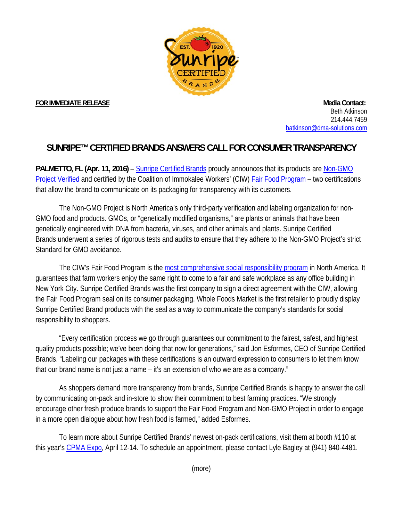

**FOR IMMEDIATE RELEASE** Manual Contact: **All and Security Contact: Media Contact: Media Contact:** Beth Atkinson 214.444.7459 batkinson@dma-solutions.com

## **SUNRIPE™ CERTIFIED BRANDS ANSWERS CALL FOR CONSUMER TRANSPARENCY**

**PALMETTO, FL (Apr. 11, 2016)** – Sunripe Certified Brands proudly announces that its products are Non-GMO Project Verified and certified by the Coalition of Immokalee Workers' (CIW) Fair Food Program – two certifications that allow the brand to communicate on its packaging for transparency with its customers.

The Non-GMO Project is North America's only third-party verification and labeling organization for non-GMO food and products. GMOs, or "genetically modified organisms," are plants or animals that have been genetically engineered with DNA from bacteria, viruses, and other animals and plants. Sunripe Certified Brands underwent a series of rigorous tests and audits to ensure that they adhere to the Non-GMO Project's strict Standard for GMO avoidance.

The CIW's Fair Food Program is the most comprehensive social responsibility program in North America. It guarantees that farm workers enjoy the same right to come to a fair and safe workplace as any office building in New York City. Sunripe Certified Brands was the first company to sign a direct agreement with the CIW, allowing the Fair Food Program seal on its consumer packaging. Whole Foods Market is the first retailer to proudly display Sunripe Certified Brand products with the seal as a way to communicate the company's standards for social responsibility to shoppers.

"Every certification process we go through guarantees our commitment to the fairest, safest, and highest quality products possible; we've been doing that now for generations," said Jon Esformes, CEO of Sunripe Certified Brands. "Labeling our packages with these certifications is an outward expression to consumers to let them know that our brand name is not just a name – it's an extension of who we are as a company."

As shoppers demand more transparency from brands, Sunripe Certified Brands is happy to answer the call by communicating on-pack and in-store to show their commitment to best farming practices. "We strongly encourage other fresh produce brands to support the Fair Food Program and Non-GMO Project in order to engage in a more open dialogue about how fresh food is farmed," added Esformes.

 To learn more about Sunripe Certified Brands' newest on-pack certifications, visit them at booth #110 at this year's CPMA Expo, April 12-14. To schedule an appointment, please contact Lyle Bagley at (941) 840-4481.